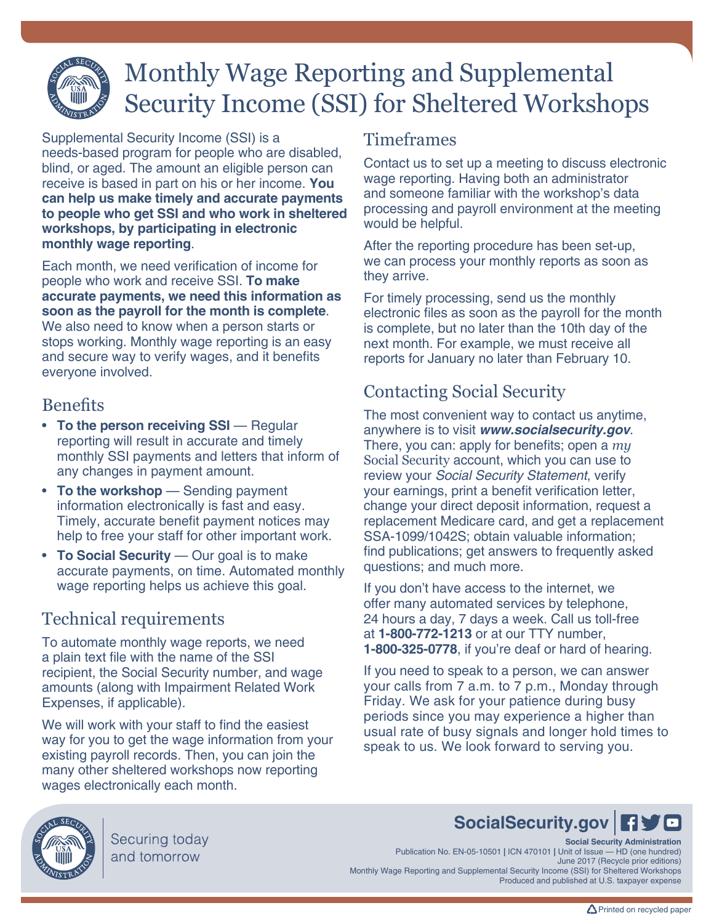# Monthly Wage Reporting and Supplemental Security Income (SSI) for Sheltered Workshops

Supplemental Security Income (SSI) is a needs-based program for people who are disabled, blind, or aged. The amount an eligible person can receive is based in part on his or her income. **You can help us make timely and accurate payments to people who get SSI and who work in sheltered workshops, by participating in electronic monthly wage reporting**.

Each month, we need verification of income for people who work and receive SSI. **To make accurate payments, we need this information as soon as the payroll for the month is complete**. We also need to know when a person starts or stops working. Monthly wage reporting is an easy and secure way to verify wages, and it benefits everyone involved.

### **Benefits**

- **To the person receiving SSI** Regular reporting will result in accurate and timely monthly SSI payments and letters that inform of any changes in payment amount.
- **To the workshop** Sending payment information electronically is fast and easy. Timely, accurate benefit payment notices may help to free your staff for other important work.
- **To Social Security** Our goal is to make accurate payments, on time. Automated monthly wage reporting helps us achieve this goal.

# Technical requirements

To automate monthly wage reports, we need a plain text file with the name of the SSI recipient, the Social Security number, and wage amounts (along with Impairment Related Work Expenses, if applicable).

We will work with your staff to find the easiest way for you to get the wage information from your existing payroll records. Then, you can join the many other sheltered workshops now reporting wages electronically each month.

### Timeframes

Contact us to set up a meeting to discuss electronic wage reporting. Having both an administrator and someone familiar with the workshop's data processing and payroll environment at the meeting would be helpful.

After the reporting procedure has been set-up, we can process your monthly reports as soon as they arrive.

For timely processing, send us the monthly electronic files as soon as the payroll for the month is complete, but no later than the 10th day of the next month. For example, we must receive all reports for January no later than February 10.

## Contacting Social Security

The most convenient way to contact us anytime, anywhere is to visit *[www.socialsecurity.gov](http://ssa.gov)*. There, you can: apply for benefits; open a *[my](https://www.ssa.gov/myaccount/)* [Social Security](https://www.ssa.gov/myaccount/) account, which you can use to review your *[Social Security Statement](https://www.ssa.gov/myaccount/statement.html)*, verify your earnings, print a benefit verification letter, change your direct deposit information, request a replacement Medicare card, and get a replacemen[t](https://faq.ssa.gov/link/portal/34011/34019/Article/3706/How-can-I-get-a-form-SSA-1099-1042S-Social-Security-Benefit-Statement?URL=/apps6z/i1099/main.html) [SSA-1099/1042S](https://faq.ssa.gov/link/portal/34011/34019/Article/3706/How-can-I-get-a-form-SSA-1099-1042S-Social-Security-Benefit-Statement?URL=/apps6z/i1099/main.html); obtain valuable information; [find publications;](http://www.ssa.gov/pubs) [get answers to frequently asked](http://www.ssa.gov/faq)  [questions](http://www.ssa.gov/faq); and much more.

If you don't have access to the internet, we offer many automated services by telephone, 24 hours a day, 7 days a week. Call us toll-free at **1-800-772-1213** or at our TTY number, **1-800-325-0778**, if you're deaf or hard of hearing.

If you need to speak to a person, we can answer your calls from 7 a.m. to 7 p.m., Monday through Friday. We ask for your patience during busy periods since you may experience a higher than usual rate of busy signals and longer hold times to speak to us. We look forward to serving you.



Securing today and tomorrow

# **[SocialSecurity.gov](http://www.socialsecurity.gov)**

**Social Security Administration** Publication No. EN-05-10501 **|** ICN 470101 **|** Unit of Issue — HD (one hundred) June 2017 (Recycle prior editions) Monthly Wage Reporting and Supplemental Security Income (SSI) for Sheltered Workshops Produced and published at U.S. taxpayer expense